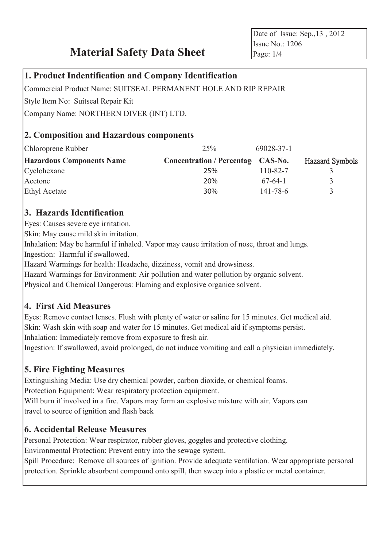**Material Safety Data Sheet**

Date of Issue: Sep.,13 , 2012 Issue No.: 1206 Page: 1/4

#### **1. Product Indentification and Company Identification**

Commercial Product Name: SUITSEAL PERMANENT HOLE AND RIP REPAIR

Style Item No: Suitseal Repair Kit

Company Name: NORTHERN DIVER (INT) LTD.

### **2. Composition and Hazardous components**

| Chloroprene Rubber               | 25%                              | 69028-37-1     |                        |
|----------------------------------|----------------------------------|----------------|------------------------|
| <b>Hazardous Components Name</b> | <b>Concentration / Percentag</b> | CAS-No.        | <b>Hazaard Symbols</b> |
| Cyclohexane                      | 25%                              | 110-82-7       |                        |
| Acetone                          | 20%                              | $67-64-1$      |                        |
| <b>Ethyl Acetate</b>             | 30%                              | $141 - 78 - 6$ |                        |

### **3. Hazards Identification**

Eyes: Causes severe eye irritation.

Skin: May cause mild skin irritation.

Inhalation: May be harmful if inhaled. Vapor may cause irritation of nose, throat and lungs.

Ingestion: Harmful if swallowed.

Hazard Warmings for health: Headache, dizziness, vomit and drowsiness.

Hazard Warmings for Environment: Air pollution and water pollution by organic solvent.

Physical and Chemical Dangerous: Flaming and explosive organice solvent.

## **4. First Aid Measures**

Eyes: Remove contact lenses. Flush with plenty of water or saline for 15 minutes. Get medical aid. Skin: Wash skin with soap and water for 15 minutes. Get medical aid if symptoms persist. Inhalation: Immediately remove from exposure to fresh air.

Ingestion: If swallowed, avoid prolonged, do not induce vomiting and call a physician immediately.

## **5. Fire Fighting Measures**

Extinguishing Media: Use dry chemical powder, carbon dioxide, or chemical foams. Protection Equipment: Wear respiratory protection equipment. Will burn if involved in a fire. Vapors may form an explosive mixture with air. Vapors can travel to source of ignition and flash back

## **6. Accidental Release Measures**

Personal Protection: Wear respirator, rubber gloves, goggles and protective clothing. Environmental Protection: Prevent entry into the sewage system.

Spill Procedure: Remove all sources of ignition. Provide adequate ventilation. Wear appropriate personal protection. Sprinkle absorbent compound onto spill, then sweep into a plastic or metal container.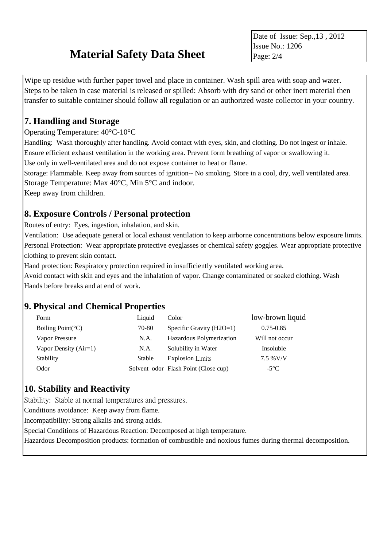# **Material Safety Data Sheet**

Date of Issue: Sep.,13 , 2012 Issue No.: 1206 Page: 2/4

Wipe up residue with further paper towel and place in container. Wash spill area with soap and water. Steps to be taken in case material is released or spilled: Absorb with dry sand or other inert material then transfer to suitable container should follow all regulation or an authorized waste collector in your country.

### **7. Handling and Storage**

#### Operating Temperature:  $40^{\circ}$ C-10 $^{\circ}$ C

Handling: Wash thoroughly after handling. Avoid contact with eyes, skin, and clothing. Do not ingest or inhale. Ensure efficient exhaust ventilation in the working area. Prevent form breathing of vapor or swallowing it. Use only in well-ventilated area and do not expose container to heat or flame.

Storage: Flammable. Keep away from sources of ignition-- No smoking. Store in a cool, dry, well ventilated area. Storage Temperature: Max  $40 \, \text{C}$ , Min 5  $\text{C}$  and indoor.

Keep away from children.

### **8. Exposure Controls / Personal protection**

Routes of entry: Eyes, ingestion, inhalation, and skin.

Ventilation: Use adequate general or local exhaust ventilation to keep airborne concentrations below exposure limits. Personal Protection: Wear appropriate protective eyeglasses or chemical safety goggles. Wear appropriate protective clothing to prevent skin contact.

Hand protection: Respiratory protection required in insufficiently ventilated working area.

Avoid contact with skin and eyes and the inhalation of vapor. Change contaminated or soaked clothing. Wash Hands before breaks and at end of work.

#### **9. Physical and Chemical Properties**

| Form                       | Liquid        | Color                                | low-brown liquid |
|----------------------------|---------------|--------------------------------------|------------------|
| Boiling Point $({\cal C})$ | 70-80         | Specific Gravity $(H2O=1)$           | $0.75 - 0.85$    |
| Vapor Pressure             | N.A.          | Hazardous Polymerization             | Will not occur   |
| Vapor Density $(Air=1)$    | N.A.          | Solubility in Water                  | Insoluble        |
| Stability                  | <b>Stable</b> | <b>Explosion</b> Limits              | 7.5 % V/V        |
| Odor                       |               | Solvent odor Flash Point (Close cup) | $-5^{\circ}C$    |

#### **10. Stability and Reactivity**

Stability: Stable at normal temperatures and pressures.

Conditions avoidance: Keep away from flame.

Incompatibility: Strong alkalis and strong acids.

Special Conditions of Hazardous Reaction: Decomposed at high temperature.

Hazardous Decomposition products: formation of combustible and noxious fumes during thermal decomposition.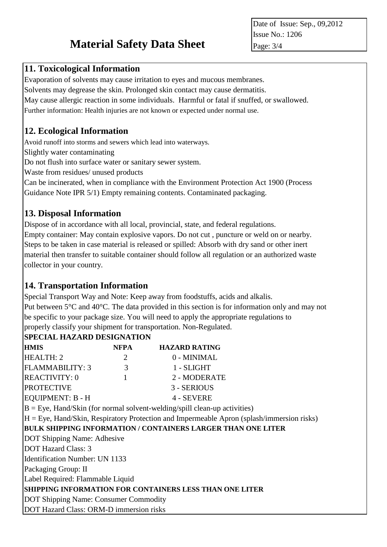# **Material Safety Data Sheet**

Date of Issue: Sep., 09,2012 Issue No.: 1206 Page: 3/4

#### **11. Toxicological Information**

Evaporation of solvents may cause irritation to eyes and mucous membranes.

Solvents may degrease the skin. Prolonged skin contact may cause dermatitis.

May cause allergic reaction in some individuals. Harmful or fatal if snuffed, or swallowed.

Further information: Health injuries are not known or expected under normal use.

#### **12. Ecological Information**

Avoid runoff into storms and sewers which lead into waterways.

Slightly water contaminating

Do not flush into surface water or sanitary sewer system.

Waste from residues/ unused products

Can be incinerated, when in compliance with the Environment Protection Act 1900 (Process Guidance Note IPR 5/1) Empty remaining contents. Contaminated packaging.

### **13. Disposal Information**

Dispose of in accordance with all local, provincial, state, and federal regulations. Empty container: May contain explosive vapors. Do not cut , puncture or weld on or nearby. Steps to be taken in case material is released or spilled: Absorb with dry sand or other inert material then transfer to suitable container should follow all regulation or an authorized waste collector in your country.

#### **14. Transportation Information**

Special Transport Way and Note: Keep away from foodstuffs, acids and alkalis. Put between 5  $\mathbb C$  and 40  $\mathbb C$ . The data provided in this section is for information only and may not be specific to your package size. You will need to apply the appropriate regulations to properly classify your shipment for transportation. Non-Regulated.

#### **SPECIAL HAZARD DESIGNATION**

| <b>HMIS</b>                             | <b>NFPA</b> | <b>HAZARD RATING</b>                                                                         |
|-----------------------------------------|-------------|----------------------------------------------------------------------------------------------|
| <b>HEALTH: 2</b>                        | 2           | 0 - MINIMAL                                                                                  |
| FLAMMABILITY: 3                         | 3           | 1 - SLIGHT                                                                                   |
| <b>REACTIVITY: 0</b>                    |             | 2 - MODERATE                                                                                 |
| <b>PROTECTIVE</b>                       |             | 3 - SERIOUS                                                                                  |
| EQUIPMENT: B - H                        |             | 4 - SEVERE                                                                                   |
|                                         |             | $B = Eye$ , Hand/Skin (for normal solvent-welding/spill clean-up activities)                 |
|                                         |             | $H = Eye$ , Hand/Skin, Respiratory Protection and Impermeable Apron (splash/immersion risks) |
|                                         |             | <b>BULK SHIPPING INFORMATION / CONTAINERS LARGER THAN ONE LITER</b>                          |
| DOT Shipping Name: Adhesive             |             |                                                                                              |
| <b>DOT Hazard Class: 3</b>              |             |                                                                                              |
| <b>Identification Number: UN 1133</b>   |             |                                                                                              |
| Packaging Group: II                     |             |                                                                                              |
| Label Required: Flammable Liquid        |             |                                                                                              |
|                                         |             | <b>SHIPPING INFORMATION FOR CONTAINERS LESS THAN ONE LITER</b>                               |
| DOT Shipping Name: Consumer Commodity   |             |                                                                                              |
| DOT Hazard Class: ORM-D immersion risks |             |                                                                                              |